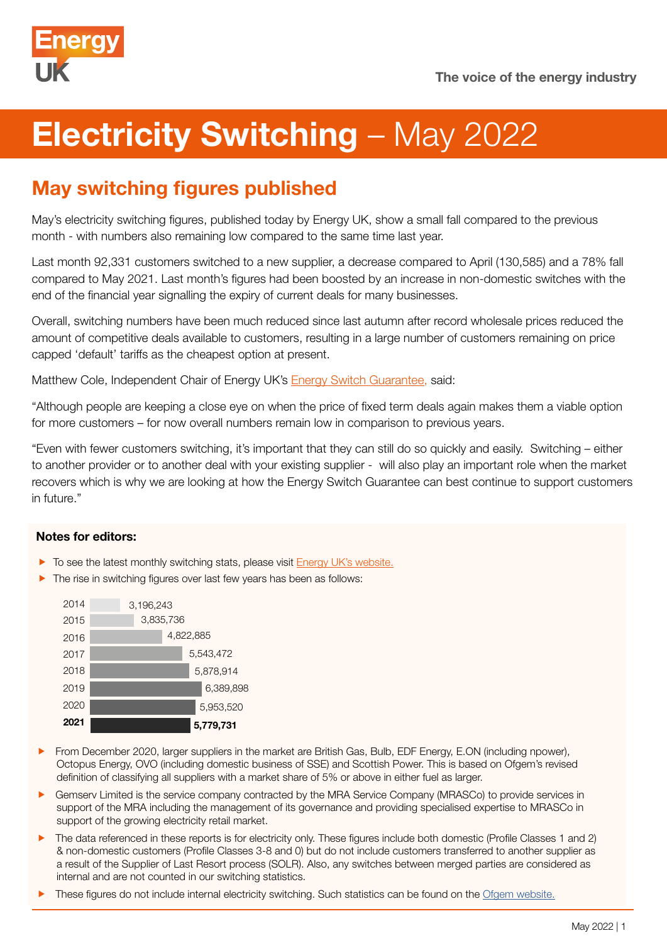

# **Electricity Switching - May 2022**

# May switching figures published

May's electricity switching figures, published today by Energy UK, show a small fall compared to the previous month - with numbers also remaining low compared to the same time last year.

Last month 92,331 customers switched to a new supplier, a decrease compared to April (130,585) and a 78% fall compared to May 2021. Last month's figures had been boosted by an increase in non-domestic switches with the end of the financial year signalling the expiry of current deals for many businesses.

Overall, switching numbers have been much reduced since last autumn after record wholesale prices reduced the amount of competitive deals available to customers, resulting in a large number of customers remaining on price capped 'default' tariffs as the cheapest option at present.

Matthew Cole, Independent Chair of Energy UK's [Energy Switch Guarantee,](https://www.energy-uk.org.uk/our-work/energy-switch-guarantee.html) said:

"Although people are keeping a close eye on when the price of fixed term deals again makes them a viable option for more customers – for now overall numbers remain low in comparison to previous years.

"Even with fewer customers switching, it's important that they can still do so quickly and easily. Switching – either to another provider or to another deal with your existing supplier - will also play an important role when the market recovers which is why we are looking at how the Energy Switch Guarantee can best continue to support customers in future."

## Notes for editors:

- To see the latest monthly switching stats, please visit **[Energy UK's website.](https://www.energy-uk.org.uk/)**
- $\blacktriangleright$  The rise in switching figures over last few years has been as follows:



- From December 2020, larger suppliers in the market are British Gas, Bulb, EDF Energy, E.ON (including npower), Octopus Energy, OVO (including domestic business of SSE) and Scottish Power. This is based on Ofgem's revised definition of classifying all suppliers with a market share of 5% or above in either fuel as larger.
- f Gemserv Limited is the service company contracted by the MRA Service Company (MRASCo) to provide services in support of the MRA including the management of its governance and providing specialised expertise to MRASCo in support of the growing electricity retail market.
- **F** The data referenced in these reports is for electricity only. These figures include both domestic (Profile Classes 1 and 2) & non-domestic customers (Profile Classes 3-8 and 0) but do not include customers transferred to another supplier as a result of the Supplier of Last Resort process (SOLR). Also, any switches between merged parties are considered as internal and are not counted in our switching statistics.
- These figures do not include internal electricity switching. Such statistics can be found on the [Ofgem website.](https://www.ofgem.gov.uk/data-portal/retail-market-indicators)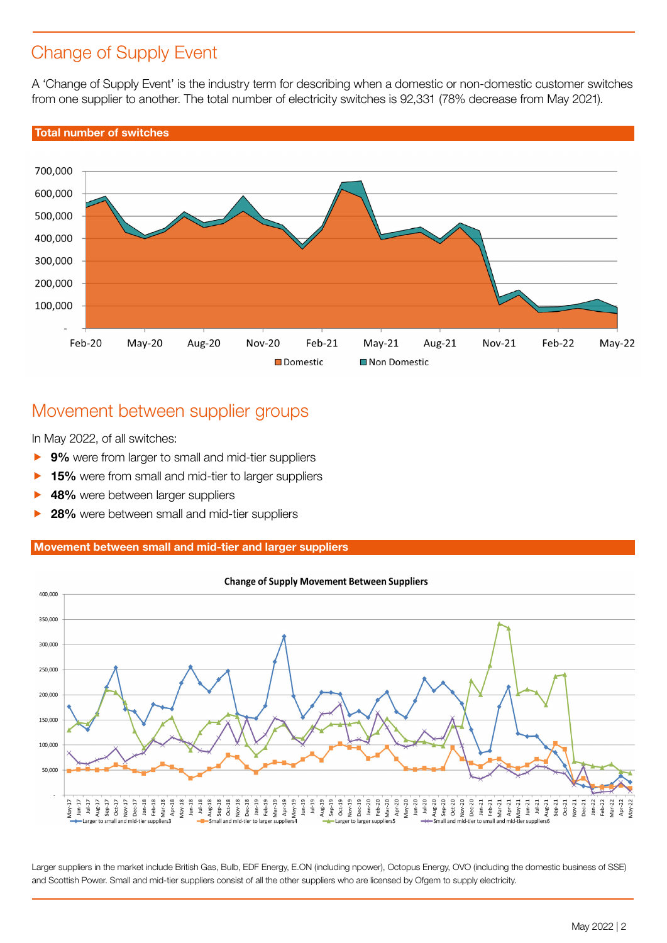## Change of Supply Event

A 'Change of Supply Event' is the industry term for describing when a domestic or non-domestic customer switches from one supplier to another. The total number of electricity switches is 92,331 (78% decrease from May 2021).

## Total number of switches



## Movement between supplier groups

In May 2022, of all switches:

- ▶ 9% were from larger to small and mid-tier suppliers
- 15% were from small and mid-tier to larger suppliers
- 48% were between larger suppliers
- 28% were between small and mid-tier suppliers

### Movement between small and mid-tier and larger suppliers



#### **Change of Supply Movement Between Suppliers**

Larger suppliers in the market include British Gas, Bulb, EDF Energy, E.ON (including npower), Octopus Energy, OVO (including the domestic business of SSE) and Scottish Power. Small and mid-tier suppliers consist of all the other suppliers who are licensed by Ofgem to supply electricity.